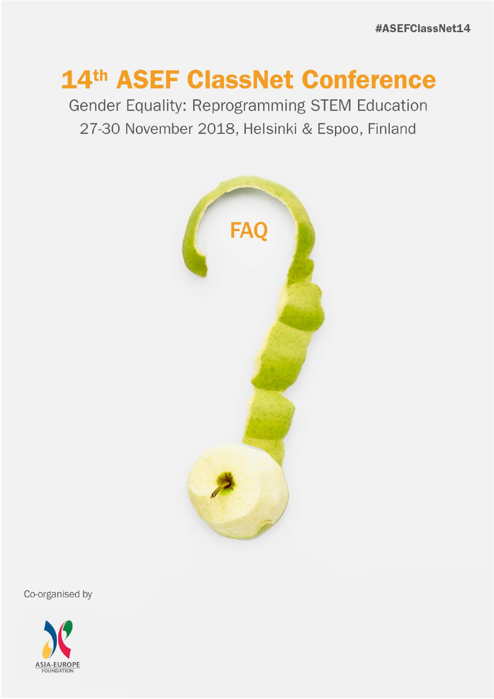## 14th ASEF ClassNet Conference

Gender Equality: Reprogramming STEM Education 27-30 November 2018, Helsinki & Espoo, Finland



Co-organised by

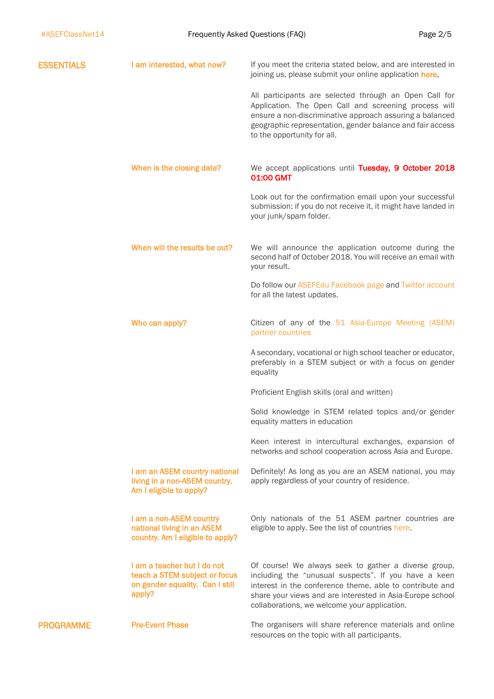| <b>ESSENTIALS</b> | I am interested, what now?                                                                                | If you meet the criteria stated below, and are interested in<br>joining us, please submit your online application here.                                                                                                                                                               |
|-------------------|-----------------------------------------------------------------------------------------------------------|---------------------------------------------------------------------------------------------------------------------------------------------------------------------------------------------------------------------------------------------------------------------------------------|
|                   |                                                                                                           | All participants are selected through an Open Call for<br>Application. The Open Call and screening process will<br>ensure a non-discriminative approach assuring a balanced<br>geographic representation, gender balance and fair access<br>to the opportunity for all.               |
|                   | When is the closing date?                                                                                 | We accept applications until Tuesday, 9 October 2018<br>01:00 GMT                                                                                                                                                                                                                     |
|                   |                                                                                                           | Look out for the confirmation email upon your successful<br>submission; if you do not receive it, it might have landed in<br>your junk/spam folder.                                                                                                                                   |
|                   | When will the results be out?                                                                             | We will announce the application outcome during the<br>second half of October 2018. You will receive an email with<br>your result.                                                                                                                                                    |
|                   |                                                                                                           | Do follow our ASEFEdu Facebook page and Twitter account<br>for all the latest updates.                                                                                                                                                                                                |
|                   | Who can apply?                                                                                            | Citizen of any of the 51 Asia-Europe Meeting (ASEM)<br>partner countries                                                                                                                                                                                                              |
|                   |                                                                                                           | A secondary, vocational or high school teacher or educator,<br>preferably in a STEM subject or with a focus on gender<br>equality                                                                                                                                                     |
|                   |                                                                                                           | Proficient English skills (oral and written)                                                                                                                                                                                                                                          |
|                   |                                                                                                           | Solid knowledge in STEM related topics and/or gender<br>equality matters in education                                                                                                                                                                                                 |
|                   |                                                                                                           | Keen interest in intercultural exchanges, expansion of<br>networks and school cooperation across Asia and Europe.                                                                                                                                                                     |
|                   | I am an ASEM country national<br>living in a non-ASEM country.<br>Am I eligible to apply?                 | Definitely! As long as you are an ASEM national, you may<br>apply regardless of your country of residence.                                                                                                                                                                            |
|                   | I am a non-ASEM country<br>national living in an ASEM<br>country. Am I eligible to apply?                 | Only nationals of the 51 ASEM partner countries are<br>eligible to apply. See the list of countries here.                                                                                                                                                                             |
|                   | I am a teacher but I do not<br>teach a STEM subject or focus<br>on gender equality. Can I still<br>apply? | Of course! We always seek to gather a diverse group,<br>including the "unusual suspects". If you have a keen<br>interest in the conference theme, able to contribute and<br>share your views and are interested in Asia-Europe school<br>collaborations, we welcome your application. |
| <b>PROGRAMME</b>  | <b>Pre-Event Phase</b>                                                                                    | The organisers will share reference materials and online<br>resources on the topic with all participants.                                                                                                                                                                             |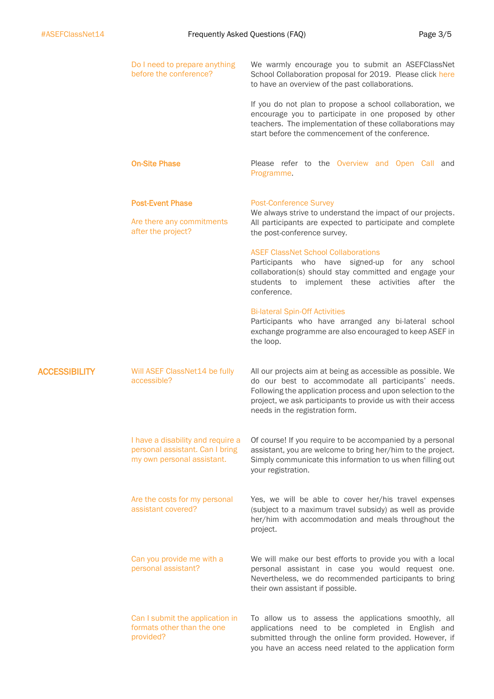|                      | Do I need to prepare anything<br>before the conference?                                            | We warmly encourage you to submit an ASEFClassNet<br>School Collaboration proposal for 2019. Please click here<br>to have an overview of the past collaborations.                                                                                                                    |
|----------------------|----------------------------------------------------------------------------------------------------|--------------------------------------------------------------------------------------------------------------------------------------------------------------------------------------------------------------------------------------------------------------------------------------|
|                      |                                                                                                    | If you do not plan to propose a school collaboration, we<br>encourage you to participate in one proposed by other<br>teachers. The implementation of these collaborations may<br>start before the commencement of the conference.                                                    |
|                      | <b>On-Site Phase</b>                                                                               | Please refer to the Overview and Open Call and<br>Programme.                                                                                                                                                                                                                         |
|                      | <b>Post-Event Phase</b><br>Are there any commitments<br>after the project?                         | <b>Post-Conference Survey</b><br>We always strive to understand the impact of our projects.<br>All participants are expected to participate and complete<br>the post-conference survey.<br><b>ASEF ClassNet School Collaborations</b>                                                |
|                      |                                                                                                    | Participants who have signed-up for any school<br>collaboration(s) should stay committed and engage your<br>students to implement these activities after the<br>conference.                                                                                                          |
|                      |                                                                                                    | <b>Bi-lateral Spin-Off Activities</b><br>Participants who have arranged any bi-lateral school<br>exchange programme are also encouraged to keep ASEF in<br>the loop.                                                                                                                 |
| <b>ACCESSIBILITY</b> | Will ASEF ClassNet14 be fully<br>accessible?                                                       | All our projects aim at being as accessible as possible. We<br>do our best to accommodate all participants' needs.<br>Following the application process and upon selection to the<br>project, we ask participants to provide us with their access<br>needs in the registration form. |
|                      | I have a disability and require a<br>personal assistant. Can I bring<br>my own personal assistant. | Of course! If you require to be accompanied by a personal<br>assistant, you are welcome to bring her/him to the project.<br>Simply communicate this information to us when filling out<br>your registration.                                                                         |
|                      | Are the costs for my personal<br>assistant covered?                                                | Yes, we will be able to cover her/his travel expenses<br>(subject to a maximum travel subsidy) as well as provide<br>her/him with accommodation and meals throughout the<br>project.                                                                                                 |
|                      | Can you provide me with a<br>personal assistant?                                                   | We will make our best efforts to provide you with a local<br>personal assistant in case you would request one.<br>Nevertheless, we do recommended participants to bring<br>their own assistant if possible.                                                                          |
|                      | Can I submit the application in<br>formats other than the one<br>provided?                         | To allow us to assess the applications smoothly, all<br>applications need to be completed in English and<br>submitted through the online form provided. However, if<br>you have an access need related to the application form                                                       |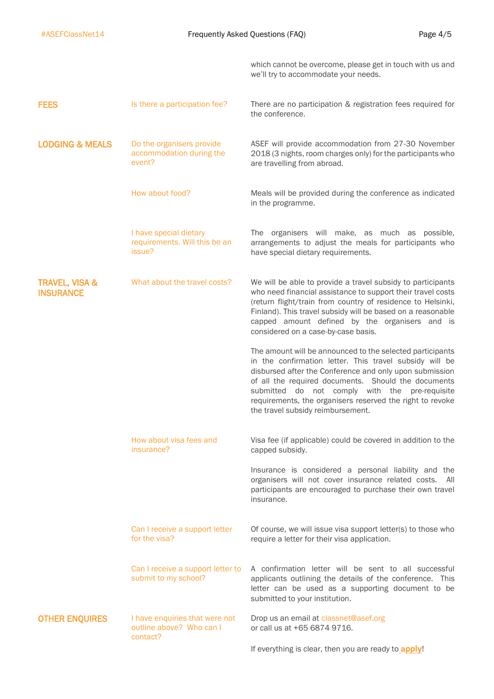|                                               |                                                                        | which cannot be overcome, please get in touch with us and<br>we'll try to accommodate your needs.                                                                                                                                                                                                                                                                                          |
|-----------------------------------------------|------------------------------------------------------------------------|--------------------------------------------------------------------------------------------------------------------------------------------------------------------------------------------------------------------------------------------------------------------------------------------------------------------------------------------------------------------------------------------|
| <b>FEES</b>                                   | Is there a participation fee?                                          | There are no participation & registration fees required for<br>the conference.                                                                                                                                                                                                                                                                                                             |
| <b>LODGING &amp; MEALS</b>                    | Do the organisers provide<br>accommodation during the<br>event?        | ASEF will provide accommodation from 27-30 November<br>2018 (3 nights, room charges only) for the participants who<br>are travelling from abroad.                                                                                                                                                                                                                                          |
|                                               | How about food?                                                        | Meals will be provided during the conference as indicated<br>in the programme.                                                                                                                                                                                                                                                                                                             |
|                                               | I have special dietary<br>requirements. Will this be an<br>issue?      | The organisers will make, as much as possible,<br>arrangements to adjust the meals for participants who<br>have special dietary requirements.                                                                                                                                                                                                                                              |
| <b>TRAVEL, VISA &amp;</b><br><b>INSURANCE</b> | What about the travel costs?                                           | We will be able to provide a travel subsidy to participants<br>who need financial assistance to support their travel costs<br>(return flight/train from country of residence to Helsinki,<br>Finland). This travel subsidy will be based on a reasonable<br>capped amount defined by the organisers and is<br>considered on a case-by-case basis.                                          |
|                                               |                                                                        | The amount will be announced to the selected participants<br>in the confirmation letter. This travel subsidy will be<br>disbursed after the Conference and only upon submission<br>of all the required documents. Should the documents<br>submitted do not comply with the pre-requisite<br>requirements, the organisers reserved the right to revoke<br>the travel subsidy reimbursement. |
|                                               | How about visa fees and<br>insurance?                                  | Visa fee (if applicable) could be covered in addition to the<br>capped subsidy.                                                                                                                                                                                                                                                                                                            |
|                                               |                                                                        | Insurance is considered a personal liability and the<br>organisers will not cover insurance related costs. All<br>participants are encouraged to purchase their own travel<br>insurance.                                                                                                                                                                                                   |
|                                               | Can I receive a support letter<br>for the visa?                        | Of course, we will issue visa support letter(s) to those who<br>require a letter for their visa application.                                                                                                                                                                                                                                                                               |
|                                               | Can I receive a support letter to<br>submit to my school?              | A confirmation letter will be sent to all successful<br>applicants outlining the details of the conference. This<br>letter can be used as a supporting document to be<br>submitted to your institution.                                                                                                                                                                                    |
| <b>OTHER ENQUIRES</b>                         | I have enquiries that were not<br>outline above? Who can I<br>contact? | Drop us an email at classnet@asef.org<br>or call us at +65 6874 9716.                                                                                                                                                                                                                                                                                                                      |
|                                               |                                                                        | If everything is clear, then you are ready to apply!                                                                                                                                                                                                                                                                                                                                       |